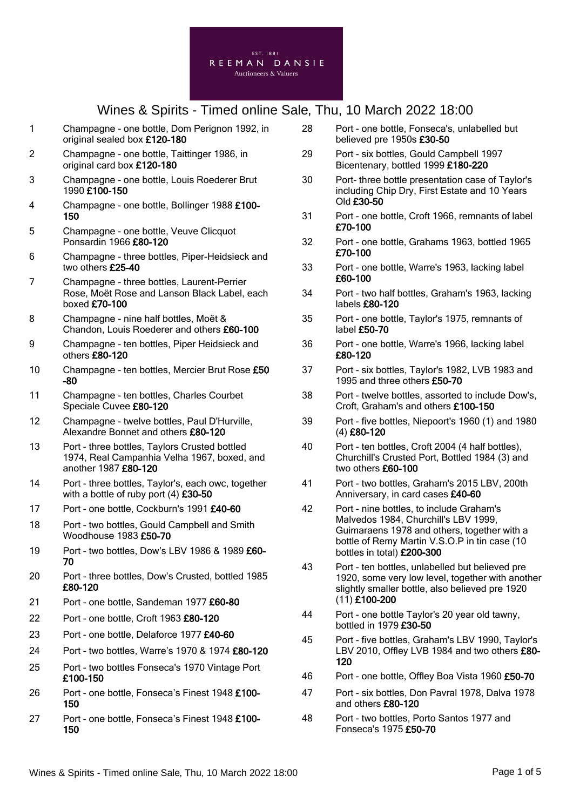

- 1 Champagne one bottle, Dom Perignon 1992, in original sealed box £120-180
- 2 Champagne one bottle, Taittinger 1986, in original card box £120-180
- 3 Champagne one bottle, Louis Roederer Brut 1990 £100-150
- 4 Champagne one bottle, Bollinger 1988 £100- 150
- 5 Champagne one bottle, Veuve Clicquot Ponsardin 1966 £80-120
- 6 Champagne three bottles, Piper-Heidsieck and two others £25-40
- 7 Champagne three bottles, Laurent-Perrier Rose, Moët Rose and Lanson Black Label, each boxed £70-100
- 8 Champagne nine half bottles, Moët & Chandon, Louis Roederer and others £60-100
- 9 Champagne ten bottles, Piper Heidsieck and others £80-120
- 10 Champagne ten bottles, Mercier Brut Rose £50 -80
- 11 Champagne ten bottles, Charles Courbet Speciale Cuvee £80-120
- 12 Champagne twelve bottles, Paul D'Hurville, Alexandre Bonnet and others £80-120
- 13 Port three bottles, Taylors Crusted bottled 1974, Real Campanhia Velha 1967, boxed, and another 1987 £80-120
- 14 Port three bottles, Taylor's, each owc, together with a bottle of ruby port (4) £30-50
- 17 Port one bottle, Cockburn's 1991 £40-60
- 18 Port two bottles, Gould Campbell and Smith Woodhouse 1983 £50-70
- 19 Port two bottles, Dow's LBV 1986 & 1989 £60- 70
- 20 Port three bottles, Dow's Crusted, bottled 1985 £80-120
- 21 Port one bottle, Sandeman 1977 £60-80
- 22 Port one bottle, Croft 1963 £80-120
- 23 Port one bottle, Delaforce 1977 £40-60
- 24 Port two bottles, Warre's 1970 & 1974 £80-120
- 25 Port two bottles Fonseca's 1970 Vintage Port £100-150
- 26 Port one bottle, Fonseca's Finest 1948 £100-150
- 27 Port one bottle, Fonseca's Finest 1948 £100-150
- 28 Port one bottle, Fonseca's, unlabelled but believed pre 1950s £30-50
- 29 Port six bottles, Gould Campbell 1997 Bicentenary, bottled 1999 £180-220
- 30 Port- three bottle presentation case of Taylor's including Chip Dry, First Estate and 10 Years Old £30-50
- 31 Port one bottle, Croft 1966, remnants of label £70-100
- 32 Port one bottle, Grahams 1963, bottled 1965 £70-100
- 33 Port one bottle, Warre's 1963, lacking label £60-100
- 34 Port two half bottles, Graham's 1963, lacking labels £80-120
- 35 Port one bottle, Taylor's 1975, remnants of label £50-70
- 36 Port one bottle, Warre's 1966, lacking label £80-120
- 37 Port six bottles, Taylor's 1982, LVB 1983 and 1995 and three others £50-70
- 38 Port twelve bottles, assorted to include Dow's, Croft, Graham's and others £100-150
- 39 Port five bottles, Niepoort's 1960 (1) and 1980 (4) £80-120
- 40 Port ten bottles, Croft 2004 (4 half bottles), Churchill's Crusted Port, Bottled 1984 (3) and two others £60-100
- 41 Port two bottles, Graham's 2015 LBV, 200th Anniversary, in card cases £40-60
- 42 Port nine bottles, to include Graham's Malvedos 1984, Churchill's LBV 1999, Guimaraens 1978 and others, together with a bottle of Remy Martin V.S.O.P in tin case (10 bottles in total) £200-300
- 43 Port ten bottles, unlabelled but believed pre 1920, some very low level, together with another slightly smaller bottle, also believed pre 1920 (11) £100-200
- 44 Port one bottle Taylor's 20 year old tawny, bottled in 1979 £30-50
- 45 Port five bottles, Graham's LBV 1990, Taylor's LBV 2010, Offley LVB 1984 and two others £80-120
- 46 Port one bottle, Offley Boa Vista 1960 £50-70
- 47 Port six bottles, Don Pavral 1978, Dalva 1978 and others £80-120
- 48 Port two bottles, Porto Santos 1977 and Fonseca's 1975 £50-70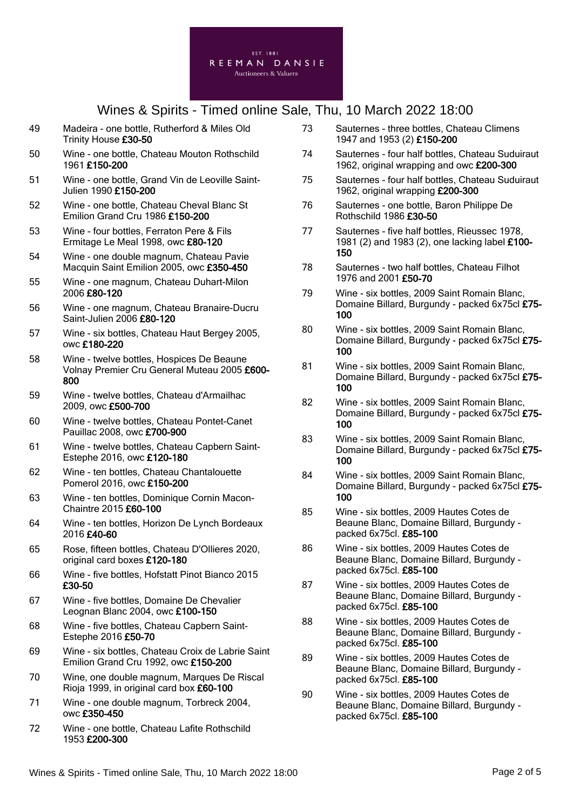

- 49 Madeira one bottle, Rutherford & Miles Old Trinity House £30-50
- 50 Wine one bottle, Chateau Mouton Rothschild 1961 £150-200
- 51 Wine one bottle, Grand Vin de Leoville Saint-Julien 1990 £150-200
- 52 Wine one bottle, Chateau Cheval Blanc St Emilion Grand Cru 1986 £150-200
- 53 Wine four bottles, Ferraton Pere & Fils Ermitage Le Meal 1998, owc £80-120
- 54 Wine one double magnum, Chateau Pavie Macquin Saint Emilion 2005, owc £350-450
- 55 Wine one magnum, Chateau Duhart-Milon 2006 £80-120
- 56 Wine one magnum, Chateau Branaire-Ducru Saint-Julien 2006 £80-120
- 57 Wine six bottles, Chateau Haut Bergey 2005, owc £180-220
- 58 Wine twelve bottles, Hospices De Beaune Volnay Premier Cru General Muteau 2005 £600- 800
- 59 Wine twelve bottles, Chateau d'Armailhac 2009, owc £500-700
- 60 Wine twelve bottles, Chateau Pontet-Canet Pauillac 2008, owc £700-900
- 61 Wine twelve bottles, Chateau Capbern Saint-Estephe 2016, owc £120-180
- 62 Wine ten bottles, Chateau Chantalouette Pomerol 2016, owc £150-200
- 63 Wine ten bottles, Dominique Cornin Macon-Chaintre 2015 £60-100
- 64 Wine ten bottles, Horizon De Lynch Bordeaux 2016 £40-60
- 65 Rose, fifteen bottles, Chateau D'Ollieres 2020, original card boxes £120-180
- 66 Wine five bottles, Hofstatt Pinot Bianco 2015 £30-50
- 67 Wine five bottles, Domaine De Chevalier Leognan Blanc 2004, owc £100-150
- 68 Wine five bottles, Chateau Capbern Saint-Estephe 2016 £50-70
- 69 Wine six bottles, Chateau Croix de Labrie Saint Emilion Grand Cru 1992, owc £150-200
- 70 Wine, one double magnum, Marques De Riscal Rioja 1999, in original card box £60-100
- 71 Wine one double magnum, Torbreck 2004, owc £350-450
- 72 Wine one bottle, Chateau Lafite Rothschild 1953 £200-300
- 73 Sauternes three bottles, Chateau Climens 1947 and 1953 (2) £150-200
- 74 Sauternes four half bottles, Chateau Suduiraut 1962, original wrapping and owc £200-300
- 75 Sauternes four half bottles, Chateau Suduiraut 1962, original wrapping £200-300
- 76 Sauternes one bottle, Baron Philippe De Rothschild 1986 £30-50
- 77 Sauternes five half bottles, Rieussec 1978, 1981 (2) and 1983 (2), one lacking label £100- 150
- 78 Sauternes two half bottles, Chateau Filhot 1976 and 2001 £50-70
- 79 Wine six bottles, 2009 Saint Romain Blanc, Domaine Billard, Burgundy - packed 6x75cl £75- 100
- 80 Wine six bottles, 2009 Saint Romain Blanc, Domaine Billard, Burgundy - packed 6x75cl £75-100
- 81 Wine six bottles, 2009 Saint Romain Blanc, Domaine Billard, Burgundy - packed 6x75cl £75- 100
- 82 Wine six bottles, 2009 Saint Romain Blanc, Domaine Billard, Burgundy - packed 6x75cl £75- 100
- 83 Wine six bottles, 2009 Saint Romain Blanc, Domaine Billard, Burgundy - packed 6x75cl £75- 100
- 84 Wine six bottles, 2009 Saint Romain Blanc, Domaine Billard, Burgundy - packed 6x75cl £75- 100
- 85 Wine six bottles, 2009 Hautes Cotes de Beaune Blanc, Domaine Billard, Burgundy packed 6x75cl. £85-100
- 86 Wine six bottles, 2009 Hautes Cotes de Beaune Blanc, Domaine Billard, Burgundy packed 6x75cl. £85-100
- 87 Wine six bottles, 2009 Hautes Cotes de Beaune Blanc, Domaine Billard, Burgundy packed 6x75cl. £85-100
- 88 Wine six bottles, 2009 Hautes Cotes de Beaune Blanc, Domaine Billard, Burgundy packed 6x75cl. £85-100
- 89 Wine six bottles, 2009 Hautes Cotes de Beaune Blanc, Domaine Billard, Burgundy packed 6x75cl. £85-100
- 90 Wine six bottles, 2009 Hautes Cotes de Beaune Blanc, Domaine Billard, Burgundy packed 6x75cl. £85-100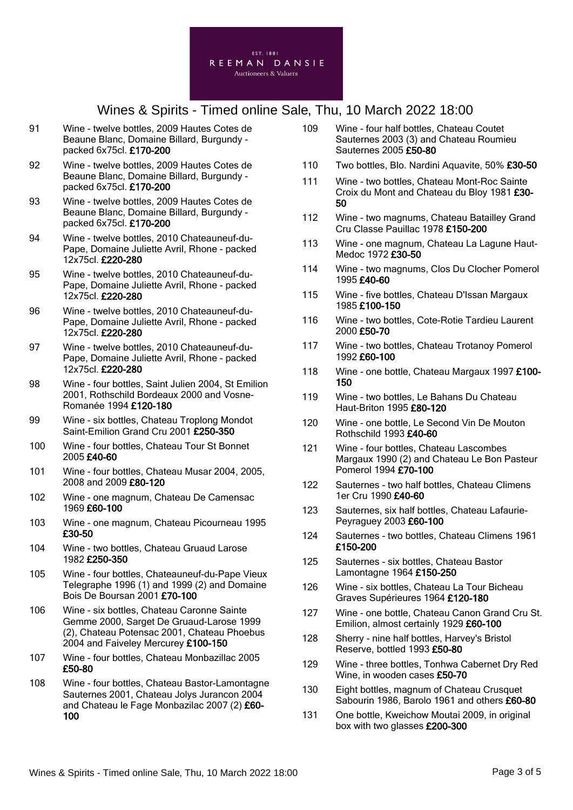

- 91 Wine twelve bottles, 2009 Hautes Cotes de Beaune Blanc, Domaine Billard, Burgundy packed 6x75cl. £170-200
- 92 Wine twelve bottles, 2009 Hautes Cotes de Beaune Blanc, Domaine Billard, Burgundy packed 6x75cl. £170-200
- 93 Wine twelve bottles, 2009 Hautes Cotes de Beaune Blanc, Domaine Billard, Burgundy packed 6x75cl. £170-200
- 94 Wine twelve bottles, 2010 Chateauneuf-du-Pape, Domaine Juliette Avril, Rhone - packed 12x75cl. £220-280
- 95 Wine twelve bottles, 2010 Chateauneuf-du-Pape, Domaine Juliette Avril, Rhone - packed 12x75cl. £220-280
- 96 Wine twelve bottles, 2010 Chateauneuf-du-Pape, Domaine Juliette Avril, Rhone - packed 12x75cl. £220-280
- 97 Wine twelve bottles, 2010 Chateauneuf-du-Pape, Domaine Juliette Avril, Rhone - packed 12x75cl. £220-280
- 98 Wine four bottles, Saint Julien 2004, St Emilion 2001, Rothschild Bordeaux 2000 and Vosne-Romanée 1994 £120-180
- 99 Wine six bottles, Chateau Troplong Mondot Saint-Emilion Grand Cru 2001 £250-350
- 100 Wine four bottles, Chateau Tour St Bonnet 2005 £40-60
- 101 Wine four bottles, Chateau Musar 2004, 2005, 2008 and 2009 £80-120
- 102 Wine one magnum, Chateau De Camensac 1969 £60-100
- 103 Wine one magnum, Chateau Picourneau 1995 £30-50
- 104 Wine two bottles, Chateau Gruaud Larose 1982 £250-350
- 105 Wine four bottles, Chateauneuf-du-Pape Vieux Telegraphe 1996 (1) and 1999 (2) and Domaine Bois De Boursan 2001 £70-100
- 106 Wine six bottles, Chateau Caronne Sainte Gemme 2000, Sarget De Gruaud-Larose 1999 (2), Chateau Potensac 2001, Chateau Phoebus 2004 and Faiveley Mercurey £100-150
- 107 Wine four bottles, Chateau Monbazillac 2005 £50-80
- 108 Wine four bottles, Chateau Bastor-Lamontagne Sauternes 2001, Chateau Jolys Jurancon 2004 and Chateau le Fage Monbazilac 2007 (2) £60- 100
- 109 Wine four half bottles, Chateau Coutet Sauternes 2003 (3) and Chateau Roumieu Sauternes 2005 £50-80
- 110 Two bottles, Blo. Nardini Aquavite, 50% £30-50
- 111 Wine two bottles, Chateau Mont-Roc Sainte Croix du Mont and Chateau du Bloy 1981 £30- 50
- 112 Wine two magnums, Chateau Batailley Grand Cru Classe Pauillac 1978 £150-200
- 113 Wine one magnum, Chateau La Lagune Haut-Medoc 1972 £30-50
- 114 Wine two magnums, Clos Du Clocher Pomerol 1995 £40-60
- 115 Wine five bottles, Chateau D'Issan Margaux 1985 £100-150
- 116 Wine two bottles, Cote-Rotie Tardieu Laurent 2000 £50-70
- 117 Wine two bottles, Chateau Trotanoy Pomerol 1992 £60-100
- 118 Wine one bottle, Chateau Margaux 1997 £100-150
- 119 Wine two bottles, Le Bahans Du Chateau Haut-Briton 1995 £80-120
- 120 Wine one bottle, Le Second Vin De Mouton Rothschild 1993 £40-60
- 121 Wine four bottles, Chateau Lascombes Margaux 1990 (2) and Chateau Le Bon Pasteur Pomerol 1994 £70-100
- 122 Sauternes two half bottles, Chateau Climens 1er Cru 1990 £40-60
- 123 Sauternes, six half bottles, Chateau Lafaurie-Peyraguey 2003 £60-100
- 124 Sauternes two bottles, Chateau Climens 1961 £150-200
- 125 Sauternes six bottles, Chateau Bastor Lamontagne 1964 £150-250
- 126 Wine six bottles, Chateau La Tour Bicheau Graves Supérieures 1964 £120-180
- 127 Wine one bottle, Chateau Canon Grand Cru St. Emilion, almost certainly 1929 £60-100
- 128 Sherry nine half bottles, Harvey's Bristol Reserve, bottled 1993 £50-80
- 129 Wine three bottles, Tonhwa Cabernet Dry Red Wine, in wooden cases £50-70
- 130 Eight bottles, magnum of Chateau Crusquet Sabourin 1986, Barolo 1961 and others £60-80
- 131 One bottle, Kweichow Moutai 2009, in original box with two glasses £200-300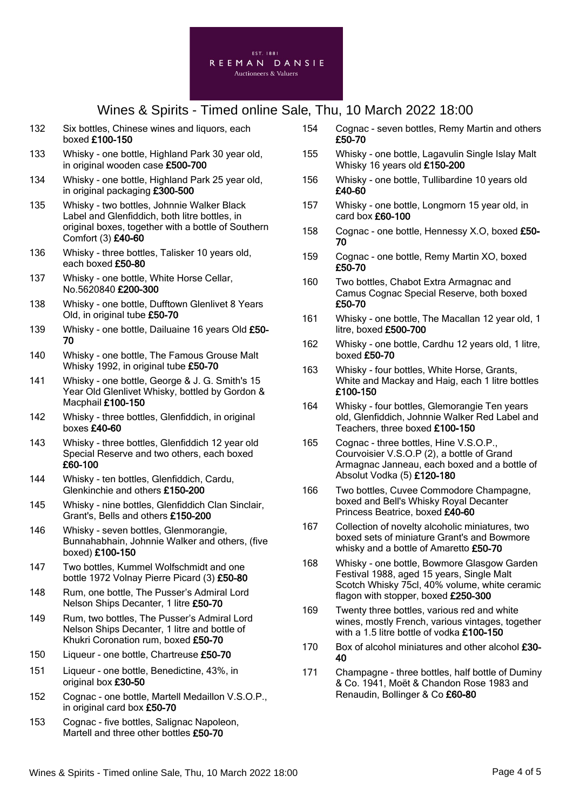

- 132 Six bottles, Chinese wines and liquors, each boxed £100-150
- 133 Whisky one bottle, Highland Park 30 year old, in original wooden case £500-700
- 134 Whisky one bottle, Highland Park 25 year old, in original packaging £300-500
- 135 Whisky two bottles, Johnnie Walker Black Label and Glenfiddich, both litre bottles, in original boxes, together with a bottle of Southern Comfort (3) £40-60
- 136 Whisky three bottles, Talisker 10 years old, each boxed £50-80
- 137 Whisky one bottle, White Horse Cellar, No.5620840 £200-300
- 138 Whisky one bottle, Dufftown Glenlivet 8 Years Old, in original tube £50-70
- 139 Whisky one bottle, Dailuaine 16 years Old £50- 70
- 140 Whisky one bottle, The Famous Grouse Malt Whisky 1992, in original tube £50-70
- 141 Whisky one bottle, George & J. G. Smith's 15 Year Old Glenlivet Whisky, bottled by Gordon & Macphail £100-150
- 142 Whisky three bottles, Glenfiddich, in original boxes £40-60
- 143 Whisky three bottles, Glenfiddich 12 year old Special Reserve and two others, each boxed £60-100
- 144 Whisky ten bottles, Glenfiddich, Cardu, Glenkinchie and others £150-200
- 145 Whisky nine bottles, Glenfiddich Clan Sinclair, Grant's, Bells and others £150-200
- 146 Whisky seven bottles, Glenmorangie, Bunnahabhain, Johnnie Walker and others, (five boxed) £100-150
- 147 Two bottles, Kummel Wolfschmidt and one bottle 1972 Volnay Pierre Picard (3) £50-80
- 148 Rum, one bottle, The Pusser's Admiral Lord Nelson Ships Decanter, 1 litre £50-70
- 149 Rum, two bottles, The Pusser's Admiral Lord Nelson Ships Decanter, 1 litre and bottle of Khukri Coronation rum, boxed £50-70
- 150 Liqueur one bottle, Chartreuse £50-70
- 151 Liqueur one bottle, Benedictine, 43%, in original box £30-50
- 152 Cognac one bottle, Martell Medaillon V.S.O.P., in original card box £50-70
- 153 Cognac five bottles, Salignac Napoleon, Martell and three other bottles £50-70
- 154 Cognac seven bottles, Remy Martin and others £50-70
- 155 Whisky one bottle, Lagavulin Single Islay Malt Whisky 16 years old £150-200
- 156 Whisky one bottle, Tullibardine 10 years old £40-60
- 157 Whisky one bottle, Longmorn 15 year old, in card box £60-100
- 158 Cognac one bottle, Hennessy X.O, boxed £50- 70
- 159 Cognac one bottle, Remy Martin XO, boxed £50-70
- 160 Two bottles, Chabot Extra Armagnac and Camus Cognac Special Reserve, both boxed £50-70
- 161 Whisky one bottle, The Macallan 12 year old, 1 litre, boxed £500-700
- 162 Whisky one bottle, Cardhu 12 years old, 1 litre, boxed £50-70
- 163 Whisky four bottles, White Horse, Grants, White and Mackay and Haig, each 1 litre bottles £100-150
- 164 Whisky four bottles, Glemorangie Ten years old, Glenfiddich, Johnnie Walker Red Label and Teachers, three boxed £100-150
- 165 Cognac three bottles, Hine V.S.O.P., Courvoisier V.S.O.P (2), a bottle of Grand Armagnac Janneau, each boxed and a bottle of Absolut Vodka (5) £120-180
- 166 Two bottles, Cuvee Commodore Champagne, boxed and Bell's Whisky Royal Decanter Princess Beatrice, boxed £40-60
- 167 Collection of novelty alcoholic miniatures, two boxed sets of miniature Grant's and Bowmore whisky and a bottle of Amaretto £50-70
- 168 Whisky one bottle, Bowmore Glasgow Garden Festival 1988, aged 15 years, Single Malt Scotch Whisky 75cl, 40% volume, white ceramic flagon with stopper, boxed £250-300
- 169 Twenty three bottles, various red and white wines, mostly French, various vintages, together with a 1.5 litre bottle of vodka £100-150
- 170 Box of alcohol miniatures and other alcohol £30-40
- 171 Champagne three bottles, half bottle of Duminy & Co. 1941, Moët & Chandon Rose 1983 and Renaudin, Bollinger & Co £60-80